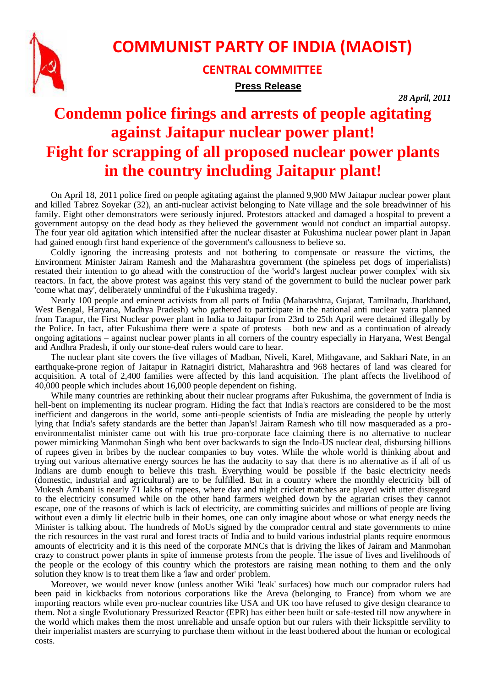

## **COMMUNIST PARTY OF INDIA (MAOIST)**

**CENTRAL COMMITTEE Press Release**

*28 April, 2011*

## **Condemn police firings and arrests of people agitating against Jaitapur nuclear power plant! Fight for scrapping of all proposed nuclear power plants in the country including Jaitapur plant!**

On April 18, 2011 police fired on people agitating against the planned 9,900 MW Jaitapur nuclear power plant and killed Tabrez Soyekar (32), an anti-nuclear activist belonging to Nate village and the sole breadwinner of his family. Eight other demonstrators were seriously injured. Protestors attacked and damaged a hospital to prevent a government autopsy on the dead body as they believed the government would not conduct an impartial autopsy. The four year old agitation which intensified after the nuclear disaster at Fukushima nuclear power plant in Japan had gained enough first hand experience of the government's callousness to believe so.

Coldly ignoring the increasing protests and not bothering to compensate or reassure the victims, the Environment Minister Jairam Ramesh and the Maharashtra government (the spineless pet dogs of imperialists) restated their intention to go ahead with the construction of the 'world's largest nuclear power complex' with six reactors. In fact, the above protest was against this very stand of the government to build the nuclear power park 'come what may', deliberately unmindful of the Fukushima tragedy.

Nearly 100 people and eminent activists from all parts of India (Maharashtra, Gujarat, Tamilnadu, Jharkhand, West Bengal, Haryana, Madhya Pradesh) who gathered to participate in the national anti nuclear yatra planned from Tarapur, the First Nuclear power plant in India to Jaitapur from 23rd to 25th April were detained illegally by the Police. In fact, after Fukushima there were a spate of protests – both new and as a continuation of already ongoing agitations – against nuclear power plants in all corners of the country especially in Haryana, West Bengal and Andhra Pradesh, if only our stone-deaf rulers would care to hear.

The nuclear plant site covers the five villages of Madban, Niveli, Karel, Mithgavane, and Sakhari Nate, in an earthquake-prone region of Jaitapur in Ratnagiri district, Maharashtra and 968 hectares of land was cleared for acquisition. A total of 2,400 families were affected by this land acquisition. The plant affects the livelihood of 40,000 people which includes about 16,000 people dependent on fishing.

While many countries are rethinking about their nuclear programs after Fukushima, the government of India is hell-bent on implementing its nuclear program. Hiding the fact that India's reactors are considered to be the most inefficient and dangerous in the world, some anti-people scientists of India are misleading the people by utterly lying that India's safety standards are the better than Japan's! Jairam Ramesh who till now masqueraded as a proenvironmentalist minister came out with his true pro-corporate face claiming there is no alternative to nuclear power mimicking Manmohan Singh who bent over backwards to sign the Indo-US nuclear deal, disbursing billions of rupees given in bribes by the nuclear companies to buy votes. While the whole world is thinking about and trying out various alternative energy sources he has the audacity to say that there is no alternative as if all of us Indians are dumb enough to believe this trash. Everything would be possible if the basic electricity needs (domestic, industrial and agricultural) are to be fulfilled. But in a country where the monthly electricity bill of Mukesh Ambani is nearly 71 lakhs of rupees, where day and night cricket matches are played with utter disregard to the electricity consumed while on the other hand farmers weighed down by the agrarian crises they cannot escape, one of the reasons of which is lack of electricity, are committing suicides and millions of people are living without even a dimly lit electric bulb in their homes, one can only imagine about whose or what energy needs the Minister is talking about. The hundreds of MoUs signed by the comprador central and state governments to mine the rich resources in the vast rural and forest tracts of India and to build various industrial plants require enormous amounts of electricity and it is this need of the corporate MNCs that is driving the likes of Jairam and Manmohan crazy to construct power plants in spite of immense protests from the people. The issue of lives and livelihoods of the people or the ecology of this country which the protestors are raising mean nothing to them and the only solution they know is to treat them like a 'law and order' problem.

Moreover, we would never know (unless another Wiki 'leak' surfaces) how much our comprador rulers had been paid in kickbacks from notorious corporations like the Areva (belonging to France) from whom we are importing reactors while even pro-nuclear countries like USA and UK too have refused to give design clearance to them. Not a single Evolutionary Pressurized Reactor (EPR) has either been built or safe-tested till now anywhere in the world which makes them the most unreliable and unsafe option but our rulers with their lickspittle servility to their imperialist masters are scurrying to purchase them without in the least bothered about the human or ecological costs.